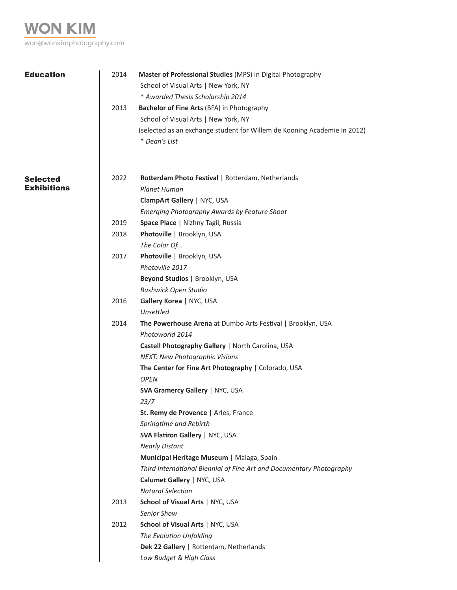**won kim** won@wonkimphotography.com

| <b>Education</b>   | 2014 | Master of Professional Studies (MPS) in Digital Photography                               |
|--------------------|------|-------------------------------------------------------------------------------------------|
|                    |      | School of Visual Arts   New York, NY                                                      |
|                    |      | * Awarded Thesis Scholarship 2014                                                         |
|                    | 2013 | Bachelor of Fine Arts (BFA) in Photography                                                |
|                    |      | School of Visual Arts   New York, NY                                                      |
|                    |      | (selected as an exchange student for Willem de Kooning Academie in 2012)<br>* Dean's List |
|                    |      |                                                                                           |
|                    |      |                                                                                           |
| <b>Selected</b>    | 2022 | Rotterdam Photo Festival   Rotterdam, Netherlands                                         |
| <b>Exhibitions</b> |      | <b>Planet Human</b>                                                                       |
|                    |      | ClampArt Gallery   NYC, USA                                                               |
|                    |      | Emerging Photography Awards by Feature Shoot                                              |
|                    | 2019 | Space Place   Nizhny Tagil, Russia                                                        |
|                    | 2018 | Photoville   Brooklyn, USA                                                                |
|                    |      | The Color Of                                                                              |
|                    | 2017 | Photoville   Brooklyn, USA                                                                |
|                    |      | Photoville 2017                                                                           |
|                    |      | Beyond Studios   Brooklyn, USA                                                            |
|                    |      | <b>Bushwick Open Studio</b>                                                               |
|                    | 2016 | Gallery Korea   NYC, USA                                                                  |
|                    |      | Unsettled                                                                                 |
|                    | 2014 | The Powerhouse Arena at Dumbo Arts Festival   Brooklyn, USA                               |
|                    |      | Photoworld 2014                                                                           |
|                    |      | Castell Photography Gallery   North Carolina, USA                                         |
|                    |      | <b>NEXT: New Photographic Visions</b>                                                     |
|                    |      | The Center for Fine Art Photography   Colorado, USA                                       |
|                    |      | <b>OPEN</b>                                                                               |
|                    |      | <b>SVA Gramercy Gallery   NYC, USA</b>                                                    |
|                    |      | 23/7                                                                                      |
|                    |      | St. Remy de Provence   Arles, France                                                      |
|                    |      | Springtime and Rebirth                                                                    |
|                    |      | SVA Flatiron Gallery   NYC, USA                                                           |
|                    |      | <b>Nearly Distant</b>                                                                     |
|                    |      | Municipal Heritage Museum   Malaga, Spain                                                 |
|                    |      | Third International Biennial of Fine Art and Documentary Photography                      |
|                    |      | Calumet Gallery   NYC, USA                                                                |
|                    |      | <b>Natural Selection</b>                                                                  |
|                    | 2013 | School of Visual Arts   NYC, USA                                                          |
|                    |      | Senior Show                                                                               |
|                    | 2012 | School of Visual Arts   NYC, USA                                                          |
|                    |      | The Evolution Unfolding                                                                   |
|                    |      | Dek 22 Gallery   Rotterdam, Netherlands                                                   |
|                    |      | Low Budget & High Class                                                                   |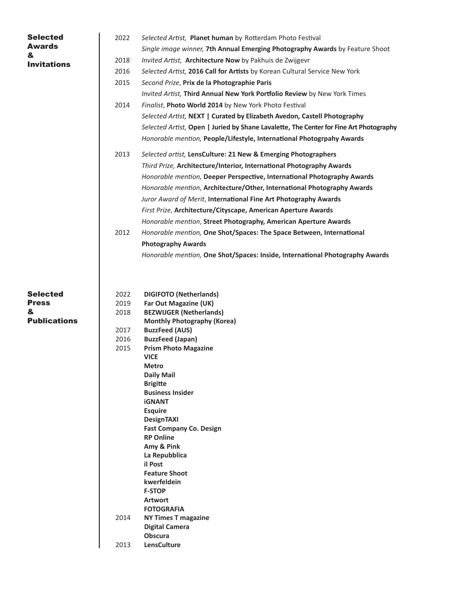| <b>Selected</b><br><b>Awards</b><br>&<br><b>Invitations</b> | 2022<br>2018<br>2016<br>2015<br>2014                         | Selected Artist, Planet human by Rotterdam Photo Festival<br>Single image winner, 7th Annual Emerging Photography Awards by Feature Shoot<br>Invited Artist, Architecture Now by Pakhuis de Zwijgevr<br>Selected Artist, 2016 Call for Artists by Korean Cultural Service New York<br>Second Prize, Prix de la Photographie Paris<br>Invited Artist, Third Annual New York Portfolio Review by New York Times<br>Finalist, Photo World 2014 by New York Photo Festival<br>Selected Artist, NEXT   Curated by Elizabeth Avedon, Castell Photography<br>Selected Artist, Open   Juried by Shane Lavalette, The Center for Fine Art Photography<br>Honorable mention, People/Lifestyle, International Photogrpahy Awards |
|-------------------------------------------------------------|--------------------------------------------------------------|-----------------------------------------------------------------------------------------------------------------------------------------------------------------------------------------------------------------------------------------------------------------------------------------------------------------------------------------------------------------------------------------------------------------------------------------------------------------------------------------------------------------------------------------------------------------------------------------------------------------------------------------------------------------------------------------------------------------------|
|                                                             | 2013<br>2012                                                 | Selected artist, LensCulture: 21 New & Emerging Photographers<br>Third Prize, Architecture/Interior, International Photography Awards<br>Honorable mention, Deeper Perspective, International Photography Awards<br>Honorable mention, Architecture/Other, International Photography Awards<br>Juror Award of Merit, International Fine Art Photography Awards<br>First Prize, Architecture/Cityscape, American Aperture Awards<br>Honorable mention, Street Photography, American Aperture Awards<br>Honorable mention, One Shot/Spaces: The Space Between, International<br><b>Photography Awards</b><br>Honorable mention, One Shot/Spaces: Inside, International Photography Awards                               |
| <b>Selected</b><br>Press<br>&<br><b>Publications</b>        | 2022<br>2019<br>2018<br>2017<br>2016<br>2015<br>2014<br>2013 | <b>DIGIFOTO (Netherlands)</b><br>Far Out Magazine (UK)<br><b>BEZWIJGER (Netherlands)</b><br><b>Monthly Photography (Korea)</b><br><b>BuzzFeed (AUS)</b><br><b>BuzzFeed (Japan)</b><br><b>Prism Photo Magazine</b><br><b>VICE</b><br><b>Metro</b><br><b>Daily Mail</b><br><b>Brigitte</b><br><b>Business Insider</b><br><b>iGNANT</b><br><b>Esquire</b><br><b>DesignTAXI</b><br><b>Fast Company Co. Design</b><br><b>RP Online</b><br>Amy & Pink<br>La Repubblica<br>il Post<br><b>Feature Shoot</b><br>kwerfeldein<br><b>F-STOP</b><br><b>Artwort</b><br><b>FOTOGRAFIA</b><br><b>NY Times T magazine</b><br><b>Digital Camera</b><br>Obscura<br>LensCulture                                                           |